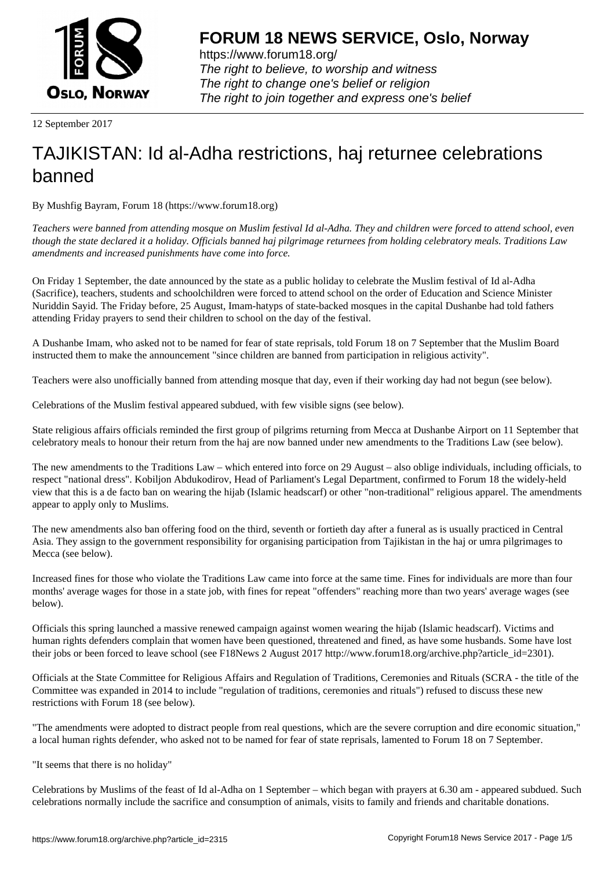

https://www.forum18.org/ The right to believe, to worship and witness The right to change one's belief or religion [The right to join together a](https://www.forum18.org/)nd express one's belief

12 September 2017

# [TAJIKISTAN: Id](https://www.forum18.org) al-Adha restrictions, haj returnee celebrations banned

By Mushfig Bayram, Forum 18 (https://www.forum18.org)

*Teachers were banned from attending mosque on Muslim festival Id al-Adha. They and children were forced to attend school, even though the state declared it a holiday. Officials banned haj pilgrimage returnees from holding celebratory meals. Traditions Law amendments and increased punishments have come into force.*

On Friday 1 September, the date announced by the state as a public holiday to celebrate the Muslim festival of Id al-Adha (Sacrifice), teachers, students and schoolchildren were forced to attend school on the order of Education and Science Minister Nuriddin Sayid. The Friday before, 25 August, Imam-hatyps of state-backed mosques in the capital Dushanbe had told fathers attending Friday prayers to send their children to school on the day of the festival.

A Dushanbe Imam, who asked not to be named for fear of state reprisals, told Forum 18 on 7 September that the Muslim Board instructed them to make the announcement "since children are banned from participation in religious activity".

Teachers were also unofficially banned from attending mosque that day, even if their working day had not begun (see below).

Celebrations of the Muslim festival appeared subdued, with few visible signs (see below).

State religious affairs officials reminded the first group of pilgrims returning from Mecca at Dushanbe Airport on 11 September that celebratory meals to honour their return from the haj are now banned under new amendments to the Traditions Law (see below).

The new amendments to the Traditions Law – which entered into force on 29 August – also oblige individuals, including officials, to respect "national dress". Kobiljon Abdukodirov, Head of Parliament's Legal Department, confirmed to Forum 18 the widely-held view that this is a de facto ban on wearing the hijab (Islamic headscarf) or other "non-traditional" religious apparel. The amendments appear to apply only to Muslims.

The new amendments also ban offering food on the third, seventh or fortieth day after a funeral as is usually practiced in Central Asia. They assign to the government responsibility for organising participation from Tajikistan in the haj or umra pilgrimages to Mecca (see below).

Increased fines for those who violate the Traditions Law came into force at the same time. Fines for individuals are more than four months' average wages for those in a state job, with fines for repeat "offenders" reaching more than two years' average wages (see below).

Officials this spring launched a massive renewed campaign against women wearing the hijab (Islamic headscarf). Victims and human rights defenders complain that women have been questioned, threatened and fined, as have some husbands. Some have lost their jobs or been forced to leave school (see F18News 2 August 2017 http://www.forum18.org/archive.php?article\_id=2301).

Officials at the State Committee for Religious Affairs and Regulation of Traditions, Ceremonies and Rituals (SCRA - the title of the Committee was expanded in 2014 to include "regulation of traditions, ceremonies and rituals") refused to discuss these new restrictions with Forum 18 (see below).

"The amendments were adopted to distract people from real questions, which are the severe corruption and dire economic situation," a local human rights defender, who asked not to be named for fear of state reprisals, lamented to Forum 18 on 7 September.

"It seems that there is no holiday"

Celebrations by Muslims of the feast of Id al-Adha on 1 September – which began with prayers at 6.30 am - appeared subdued. Such celebrations normally include the sacrifice and consumption of animals, visits to family and friends and charitable donations.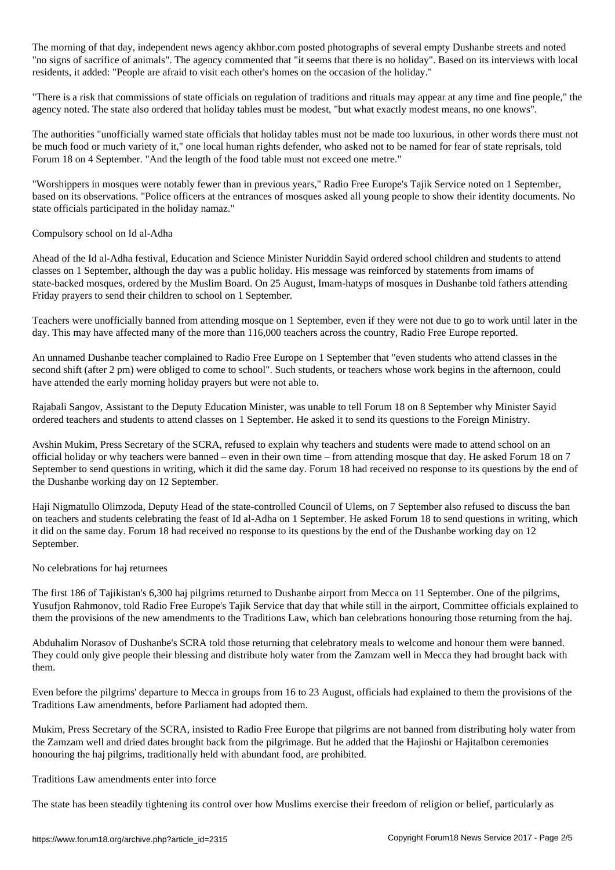The morning of that day, independent news agency akhbor.com posted photographs of several empty Dushanbe streets and noted "no signs of sacrifice of animals". The agency commented that "it seems that there is no holiday". Based on its interviews with local residents, it added: "People are afraid to visit each other's homes on the occasion of the holiday."

"There is a risk that commissions of state officials on regulation of traditions and rituals may appear at any time and fine people," the agency noted. The state also ordered that holiday tables must be modest, "but what exactly modest means, no one knows".

The authorities "unofficially warned state officials that holiday tables must not be made too luxurious, in other words there must not be much food or much variety of it," one local human rights defender, who asked not to be named for fear of state reprisals, told Forum 18 on 4 September. "And the length of the food table must not exceed one metre."

"Worshippers in mosques were notably fewer than in previous years," Radio Free Europe's Tajik Service noted on 1 September, based on its observations. "Police officers at the entrances of mosques asked all young people to show their identity documents. No state officials participated in the holiday namaz."

## Compulsory school on Id al-Adha

Ahead of the Id al-Adha festival, Education and Science Minister Nuriddin Sayid ordered school children and students to attend classes on 1 September, although the day was a public holiday. His message was reinforced by statements from imams of state-backed mosques, ordered by the Muslim Board. On 25 August, Imam-hatyps of mosques in Dushanbe told fathers attending Friday prayers to send their children to school on 1 September.

Teachers were unofficially banned from attending mosque on 1 September, even if they were not due to go to work until later in the day. This may have affected many of the more than 116,000 teachers across the country, Radio Free Europe reported.

An unnamed Dushanbe teacher complained to Radio Free Europe on 1 September that "even students who attend classes in the second shift (after 2 pm) were obliged to come to school". Such students, or teachers whose work begins in the afternoon, could have attended the early morning holiday prayers but were not able to.

Rajabali Sangov, Assistant to the Deputy Education Minister, was unable to tell Forum 18 on 8 September why Minister Sayid ordered teachers and students to attend classes on 1 September. He asked it to send its questions to the Foreign Ministry.

Avshin Mukim, Press Secretary of the SCRA, refused to explain why teachers and students were made to attend school on an official holiday or why teachers were banned – even in their own time – from attending mosque that day. He asked Forum 18 on 7 September to send questions in writing, which it did the same day. Forum 18 had received no response to its questions by the end of the Dushanbe working day on 12 September.

Haji Nigmatullo Olimzoda, Deputy Head of the state-controlled Council of Ulems, on 7 September also refused to discuss the ban on teachers and students celebrating the feast of Id al-Adha on 1 September. He asked Forum 18 to send questions in writing, which it did on the same day. Forum 18 had received no response to its questions by the end of the Dushanbe working day on 12 September.

#### No celebrations for haj returnees

The first 186 of Tajikistan's 6,300 haj pilgrims returned to Dushanbe airport from Mecca on 11 September. One of the pilgrims, Yusufjon Rahmonov, told Radio Free Europe's Tajik Service that day that while still in the airport, Committee officials explained to them the provisions of the new amendments to the Traditions Law, which ban celebrations honouring those returning from the haj.

Abduhalim Norasov of Dushanbe's SCRA told those returning that celebratory meals to welcome and honour them were banned. They could only give people their blessing and distribute holy water from the Zamzam well in Mecca they had brought back with them.

Even before the pilgrims' departure to Mecca in groups from 16 to 23 August, officials had explained to them the provisions of the Traditions Law amendments, before Parliament had adopted them.

Mukim, Press Secretary of the SCRA, insisted to Radio Free Europe that pilgrims are not banned from distributing holy water from the Zamzam well and dried dates brought back from the pilgrimage. But he added that the Hajioshi or Hajitalbon ceremonies honouring the haj pilgrims, traditionally held with abundant food, are prohibited.

#### Traditions Law amendments enter into force

The state has been steadily tightening its control over how Muslims exercise their freedom of religion or belief, particularly as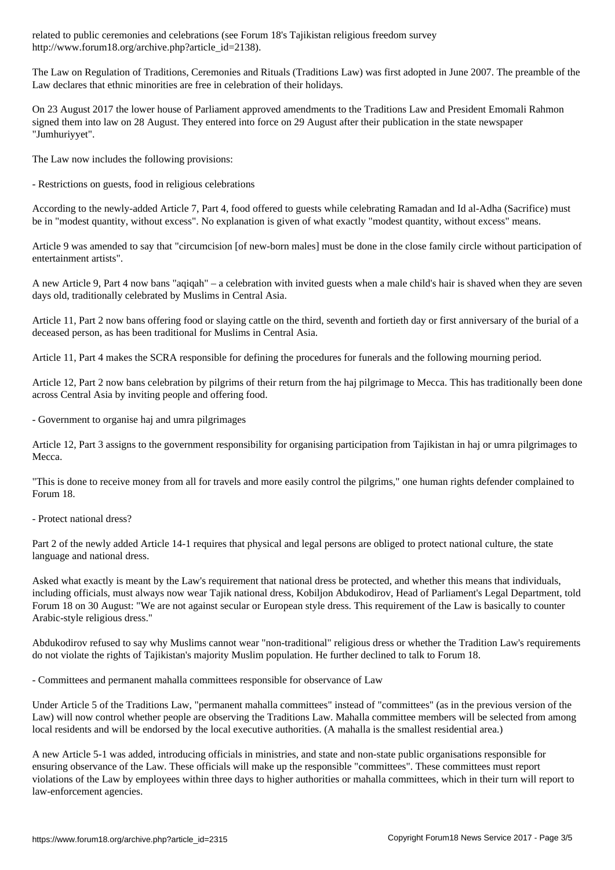http://www.forum18.org/archive.php?article\_id=2138).

The Law on Regulation of Traditions, Ceremonies and Rituals (Traditions Law) was first adopted in June 2007. The preamble of the Law declares that ethnic minorities are free in celebration of their holidays.

On 23 August 2017 the lower house of Parliament approved amendments to the Traditions Law and President Emomali Rahmon signed them into law on 28 August. They entered into force on 29 August after their publication in the state newspaper "Jumhuriyyet".

The Law now includes the following provisions:

- Restrictions on guests, food in religious celebrations

According to the newly-added Article 7, Part 4, food offered to guests while celebrating Ramadan and Id al-Adha (Sacrifice) must be in "modest quantity, without excess". No explanation is given of what exactly "modest quantity, without excess" means.

Article 9 was amended to say that "circumcision [of new-born males] must be done in the close family circle without participation of entertainment artists".

A new Article 9, Part 4 now bans "aqiqah" – a celebration with invited guests when a male child's hair is shaved when they are seven days old, traditionally celebrated by Muslims in Central Asia.

Article 11, Part 2 now bans offering food or slaying cattle on the third, seventh and fortieth day or first anniversary of the burial of a deceased person, as has been traditional for Muslims in Central Asia.

Article 11, Part 4 makes the SCRA responsible for defining the procedures for funerals and the following mourning period.

Article 12, Part 2 now bans celebration by pilgrims of their return from the haj pilgrimage to Mecca. This has traditionally been done across Central Asia by inviting people and offering food.

- Government to organise haj and umra pilgrimages

Article 12, Part 3 assigns to the government responsibility for organising participation from Tajikistan in haj or umra pilgrimages to Mecca.

"This is done to receive money from all for travels and more easily control the pilgrims," one human rights defender complained to Forum 18.

- Protect national dress?

Part 2 of the newly added Article 14-1 requires that physical and legal persons are obliged to protect national culture, the state language and national dress.

Asked what exactly is meant by the Law's requirement that national dress be protected, and whether this means that individuals, including officials, must always now wear Tajik national dress, Kobiljon Abdukodirov, Head of Parliament's Legal Department, told Forum 18 on 30 August: "We are not against secular or European style dress. This requirement of the Law is basically to counter Arabic-style religious dress."

Abdukodirov refused to say why Muslims cannot wear "non-traditional" religious dress or whether the Tradition Law's requirements do not violate the rights of Tajikistan's majority Muslim population. He further declined to talk to Forum 18.

- Committees and permanent mahalla committees responsible for observance of Law

Under Article 5 of the Traditions Law, "permanent mahalla committees" instead of "committees" (as in the previous version of the Law) will now control whether people are observing the Traditions Law. Mahalla committee members will be selected from among local residents and will be endorsed by the local executive authorities. (A mahalla is the smallest residential area.)

A new Article 5-1 was added, introducing officials in ministries, and state and non-state public organisations responsible for ensuring observance of the Law. These officials will make up the responsible "committees". These committees must report violations of the Law by employees within three days to higher authorities or mahalla committees, which in their turn will report to law-enforcement agencies.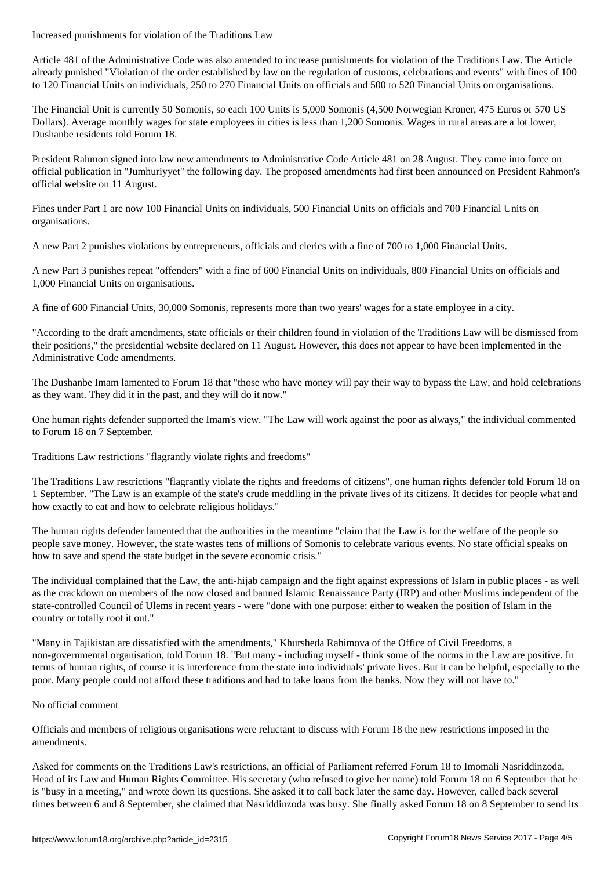Article 481 of the Administrative Code was also amended to increase punishments for violation of the Traditions Law. The Article already punished "Violation of the order established by law on the regulation of customs, celebrations and events" with fines of 100 to 120 Financial Units on individuals, 250 to 270 Financial Units on officials and 500 to 520 Financial Units on organisations.

The Financial Unit is currently 50 Somonis, so each 100 Units is 5,000 Somonis (4,500 Norwegian Kroner, 475 Euros or 570 US Dollars). Average monthly wages for state employees in cities is less than 1,200 Somonis. Wages in rural areas are a lot lower, Dushanbe residents told Forum 18.

President Rahmon signed into law new amendments to Administrative Code Article 481 on 28 August. They came into force on official publication in "Jumhuriyyet" the following day. The proposed amendments had first been announced on President Rahmon's official website on 11 August.

Fines under Part 1 are now 100 Financial Units on individuals, 500 Financial Units on officials and 700 Financial Units on organisations.

A new Part 2 punishes violations by entrepreneurs, officials and clerics with a fine of 700 to 1,000 Financial Units.

A new Part 3 punishes repeat "offenders" with a fine of 600 Financial Units on individuals, 800 Financial Units on officials and 1,000 Financial Units on organisations.

A fine of 600 Financial Units, 30,000 Somonis, represents more than two years' wages for a state employee in a city.

"According to the draft amendments, state officials or their children found in violation of the Traditions Law will be dismissed from their positions," the presidential website declared on 11 August. However, this does not appear to have been implemented in the Administrative Code amendments.

The Dushanbe Imam lamented to Forum 18 that "those who have money will pay their way to bypass the Law, and hold celebrations as they want. They did it in the past, and they will do it now."

One human rights defender supported the Imam's view. "The Law will work against the poor as always," the individual commented to Forum 18 on 7 September.

Traditions Law restrictions "flagrantly violate rights and freedoms"

The Traditions Law restrictions "flagrantly violate the rights and freedoms of citizens", one human rights defender told Forum 18 on 1 September. "The Law is an example of the state's crude meddling in the private lives of its citizens. It decides for people what and how exactly to eat and how to celebrate religious holidays."

The human rights defender lamented that the authorities in the meantime "claim that the Law is for the welfare of the people so people save money. However, the state wastes tens of millions of Somonis to celebrate various events. No state official speaks on how to save and spend the state budget in the severe economic crisis."

The individual complained that the Law, the anti-hijab campaign and the fight against expressions of Islam in public places - as well as the crackdown on members of the now closed and banned Islamic Renaissance Party (IRP) and other Muslims independent of the state-controlled Council of Ulems in recent years - were "done with one purpose: either to weaken the position of Islam in the country or totally root it out."

"Many in Tajikistan are dissatisfied with the amendments," Khursheda Rahimova of the Office of Civil Freedoms, a non-governmental organisation, told Forum 18. "But many - including myself - think some of the norms in the Law are positive. In terms of human rights, of course it is interference from the state into individuals' private lives. But it can be helpful, especially to the poor. Many people could not afford these traditions and had to take loans from the banks. Now they will not have to."

## No official comment

Officials and members of religious organisations were reluctant to discuss with Forum 18 the new restrictions imposed in the amendments.

Asked for comments on the Traditions Law's restrictions, an official of Parliament referred Forum 18 to Imomali Nasriddinzoda, Head of its Law and Human Rights Committee. His secretary (who refused to give her name) told Forum 18 on 6 September that he is "busy in a meeting," and wrote down its questions. She asked it to call back later the same day. However, called back several times between 6 and 8 September, she claimed that Nasriddinzoda was busy. She finally asked Forum 18 on 8 September to send its